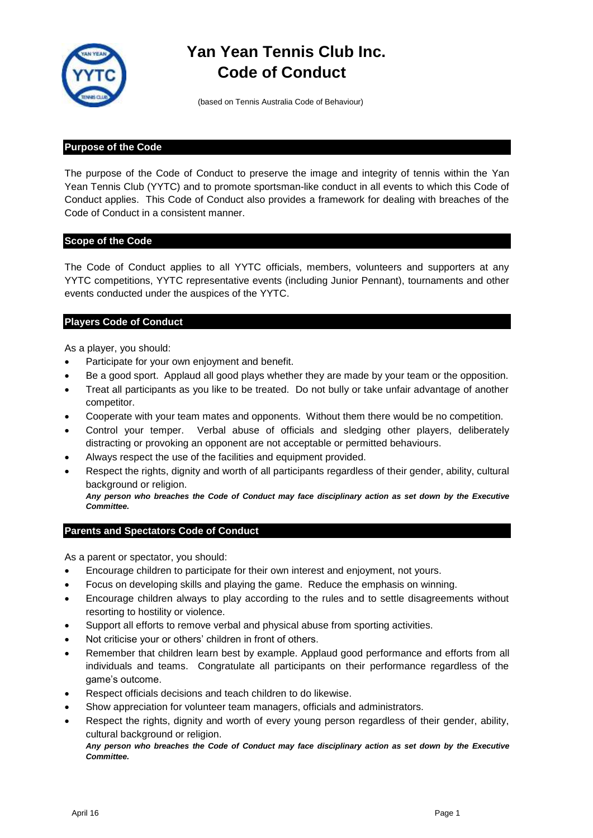

# **Yan Yean Tennis Club Inc. Code of Conduct**

(based on Tennis Australia Code of Behaviour)

# **Purpose of the Code**

The purpose of the Code of Conduct to preserve the image and integrity of tennis within the Yan Yean Tennis Club (YYTC) and to promote sportsman-like conduct in all events to which this Code of Conduct applies. This Code of Conduct also provides a framework for dealing with breaches of the Code of Conduct in a consistent manner.

# **Scope of the Code**

The Code of Conduct applies to all YYTC officials, members, volunteers and supporters at any YYTC competitions, YYTC representative events (including Junior Pennant), tournaments and other events conducted under the auspices of the YYTC.

# **Players Code of Conduct**

As a player, you should:

- Participate for your own enjoyment and benefit.
- Be a good sport. Applaud all good plays whether they are made by your team or the opposition.
- Treat all participants as you like to be treated. Do not bully or take unfair advantage of another competitor.
- Cooperate with your team mates and opponents. Without them there would be no competition.
- Control your temper. Verbal abuse of officials and sledging other players, deliberately distracting or provoking an opponent are not acceptable or permitted behaviours.
- Always respect the use of the facilities and equipment provided.
- Respect the rights, dignity and worth of all participants regardless of their gender, ability, cultural background or religion.

*Any person who breaches the Code of Conduct may face disciplinary action as set down by the Executive Committee.*

## **Parents and Spectators Code of Conduct**

As a parent or spectator, you should:

- Encourage children to participate for their own interest and enjoyment, not yours.
- Focus on developing skills and playing the game. Reduce the emphasis on winning.
- Encourage children always to play according to the rules and to settle disagreements without resorting to hostility or violence.
- Support all efforts to remove verbal and physical abuse from sporting activities.
- Not criticise your or others' children in front of others.
- Remember that children learn best by example. Applaud good performance and efforts from all individuals and teams. Congratulate all participants on their performance regardless of the game's outcome.
- Respect officials decisions and teach children to do likewise.
- Show appreciation for volunteer team managers, officials and administrators.
- Respect the rights, dignity and worth of every young person regardless of their gender, ability, cultural background or religion.

*Any person who breaches the Code of Conduct may face disciplinary action as set down by the Executive Committee.*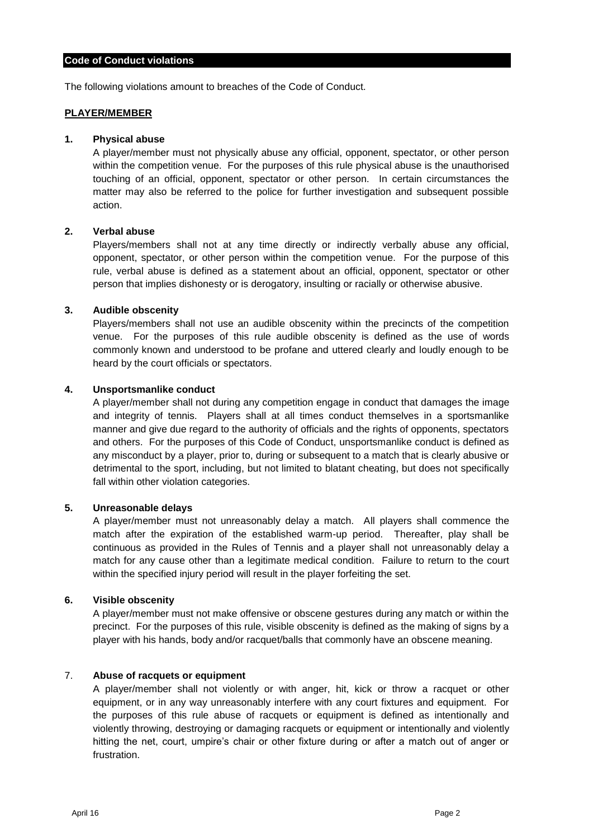## **Code of Conduct violations**

The following violations amount to breaches of the Code of Conduct.

#### **PLAYER/MEMBER**

## **1. Physical abuse**

A player/member must not physically abuse any official, opponent, spectator, or other person within the competition venue. For the purposes of this rule physical abuse is the unauthorised touching of an official, opponent, spectator or other person. In certain circumstances the matter may also be referred to the police for further investigation and subsequent possible action.

#### **2. Verbal abuse**

Players/members shall not at any time directly or indirectly verbally abuse any official, opponent, spectator, or other person within the competition venue. For the purpose of this rule, verbal abuse is defined as a statement about an official, opponent, spectator or other person that implies dishonesty or is derogatory, insulting or racially or otherwise abusive.

#### **3. Audible obscenity**

Players/members shall not use an audible obscenity within the precincts of the competition venue. For the purposes of this rule audible obscenity is defined as the use of words commonly known and understood to be profane and uttered clearly and loudly enough to be heard by the court officials or spectators.

#### **4. Unsportsmanlike conduct**

A player/member shall not during any competition engage in conduct that damages the image and integrity of tennis. Players shall at all times conduct themselves in a sportsmanlike manner and give due regard to the authority of officials and the rights of opponents, spectators and others. For the purposes of this Code of Conduct, unsportsmanlike conduct is defined as any misconduct by a player, prior to, during or subsequent to a match that is clearly abusive or detrimental to the sport, including, but not limited to blatant cheating, but does not specifically fall within other violation categories.

# **5. Unreasonable delays**

A player/member must not unreasonably delay a match. All players shall commence the match after the expiration of the established warm-up period. Thereafter, play shall be continuous as provided in the Rules of Tennis and a player shall not unreasonably delay a match for any cause other than a legitimate medical condition. Failure to return to the court within the specified injury period will result in the player forfeiting the set.

## **6. Visible obscenity**

A player/member must not make offensive or obscene gestures during any match or within the precinct. For the purposes of this rule, visible obscenity is defined as the making of signs by a player with his hands, body and/or racquet/balls that commonly have an obscene meaning.

## 7. **Abuse of racquets or equipment**

A player/member shall not violently or with anger, hit, kick or throw a racquet or other equipment, or in any way unreasonably interfere with any court fixtures and equipment. For the purposes of this rule abuse of racquets or equipment is defined as intentionally and violently throwing, destroying or damaging racquets or equipment or intentionally and violently hitting the net, court, umpire's chair or other fixture during or after a match out of anger or frustration.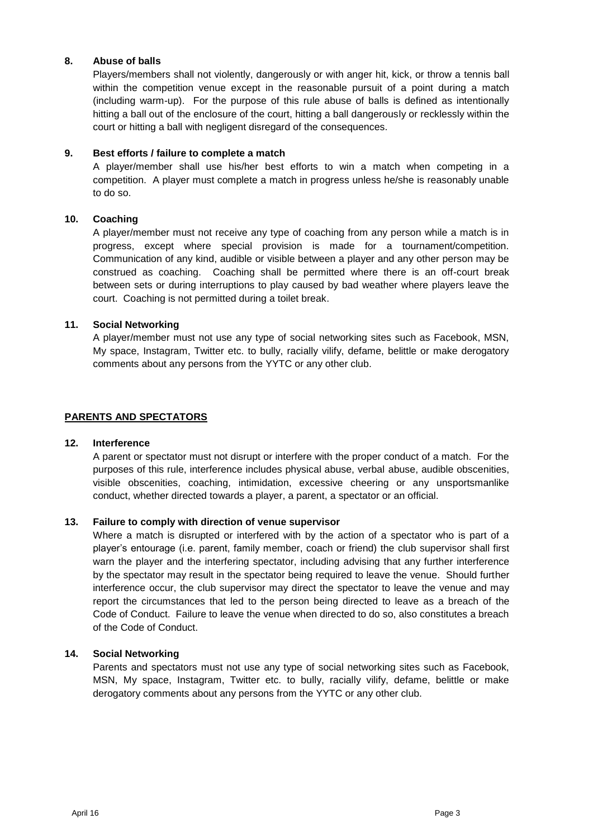## **8. Abuse of balls**

Players/members shall not violently, dangerously or with anger hit, kick, or throw a tennis ball within the competition venue except in the reasonable pursuit of a point during a match (including warm-up). For the purpose of this rule abuse of balls is defined as intentionally hitting a ball out of the enclosure of the court, hitting a ball dangerously or recklessly within the court or hitting a ball with negligent disregard of the consequences.

# **9. Best efforts / failure to complete a match**

A player/member shall use his/her best efforts to win a match when competing in a competition. A player must complete a match in progress unless he/she is reasonably unable to do so.

# **10. Coaching**

A player/member must not receive any type of coaching from any person while a match is in progress, except where special provision is made for a tournament/competition. Communication of any kind, audible or visible between a player and any other person may be construed as coaching. Coaching shall be permitted where there is an off-court break between sets or during interruptions to play caused by bad weather where players leave the court. Coaching is not permitted during a toilet break.

# **11. Social Networking**

A player/member must not use any type of social networking sites such as Facebook, MSN, My space, Instagram, Twitter etc. to bully, racially vilify, defame, belittle or make derogatory comments about any persons from the YYTC or any other club.

# **PARENTS AND SPECTATORS**

## **12. Interference**

A parent or spectator must not disrupt or interfere with the proper conduct of a match. For the purposes of this rule, interference includes physical abuse, verbal abuse, audible obscenities, visible obscenities, coaching, intimidation, excessive cheering or any unsportsmanlike conduct, whether directed towards a player, a parent, a spectator or an official.

## **13. Failure to comply with direction of venue supervisor**

Where a match is disrupted or interfered with by the action of a spectator who is part of a player's entourage (i.e. parent, family member, coach or friend) the club supervisor shall first warn the player and the interfering spectator, including advising that any further interference by the spectator may result in the spectator being required to leave the venue. Should further interference occur, the club supervisor may direct the spectator to leave the venue and may report the circumstances that led to the person being directed to leave as a breach of the Code of Conduct. Failure to leave the venue when directed to do so, also constitutes a breach of the Code of Conduct.

## **14. Social Networking**

Parents and spectators must not use any type of social networking sites such as Facebook, MSN, My space, Instagram, Twitter etc. to bully, racially vilify, defame, belittle or make derogatory comments about any persons from the YYTC or any other club.